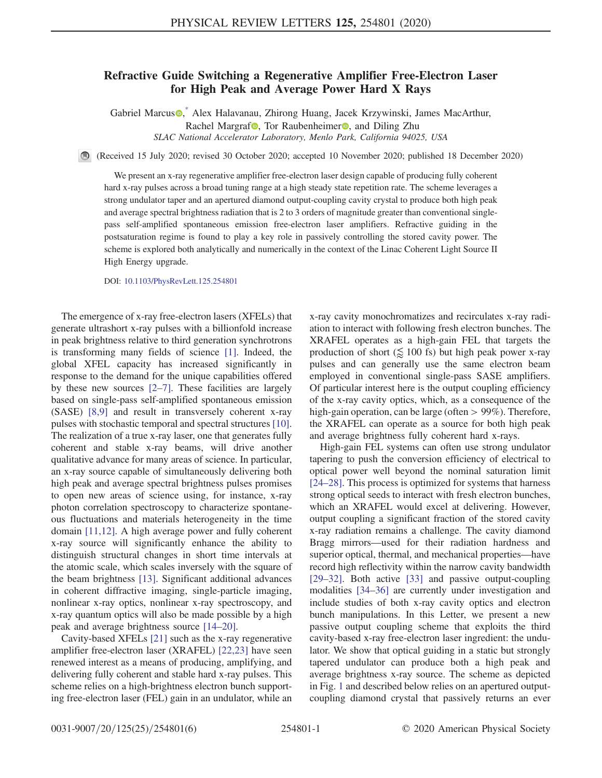## Refractive Guide Switching a Regenerative Amplifier Free-Electron Laser for High Peak and Average Power Hard X Rays

Gabriel Marcus<sup>®</sup>, Alex Halavanau, Zhirong Huang, Jacek Krzywinski, James MacArthur, Rachel Margraf<sup>t</sup>, Tor Raubenheimer<sup>o</sup>, and Diling Zhu SLAC National Accelerator Laboratory, Menlo Park, California 94025, USA

<span id="page-0-0"></span>(Received 15 July 2020; revised 30 October 2020; accepted 10 November 2020; published 18 December 2020)

We present an x-ray regenerative amplifier free-electron laser design capable of producing fully coherent hard x-ray pulses across a broad tuning range at a high steady state repetition rate. The scheme leverages a strong undulator taper and an apertured diamond output-coupling cavity crystal to produce both high peak and average spectral brightness radiation that is 2 to 3 orders of magnitude greater than conventional singlepass self-amplified spontaneous emission free-electron laser amplifiers. Refractive guiding in the postsaturation regime is found to play a key role in passively controlling the stored cavity power. The scheme is explored both analytically and numerically in the context of the Linac Coherent Light Source II High Energy upgrade.

DOI: [10.1103/PhysRevLett.125.254801](https://doi.org/10.1103/PhysRevLett.125.254801)

The emergence of x-ray free-electron lasers (XFELs) that generate ultrashort x-ray pulses with a billionfold increase in peak brightness relative to third generation synchrotrons is transforming many fields of science [\[1\]](#page-4-1). Indeed, the global XFEL capacity has increased significantly in response to the demand for the unique capabilities offered by these new sources [2–[7\].](#page-4-2) These facilities are largely based on single-pass self-amplified spontaneous emission (SASE) [\[8,9\]](#page-4-3) and result in transversely coherent x-ray pulses with stochastic temporal and spectral structures [\[10\]](#page-4-4). The realization of a true x-ray laser, one that generates fully coherent and stable x-ray beams, will drive another qualitative advance for many areas of science. In particular, an x-ray source capable of simultaneously delivering both high peak and average spectral brightness pulses promises to open new areas of science using, for instance, x-ray photon correlation spectroscopy to characterize spontaneous fluctuations and materials heterogeneity in the time domain [\[11,12\].](#page-4-5) A high average power and fully coherent x-ray source will significantly enhance the ability to distinguish structural changes in short time intervals at the atomic scale, which scales inversely with the square of the beam brightness [\[13\]](#page-4-6). Significant additional advances in coherent diffractive imaging, single-particle imaging, nonlinear x-ray optics, nonlinear x-ray spectroscopy, and x-ray quantum optics will also be made possible by a high peak and average brightness source [14–[20\].](#page-4-7)

Cavity-based XFELs [\[21\]](#page-4-8) such as the x-ray regenerative amplifier free-electron laser (XRAFEL) [\[22,23\]](#page-4-9) have seen renewed interest as a means of producing, amplifying, and delivering fully coherent and stable hard x-ray pulses. This scheme relies on a high-brightness electron bunch supporting free-electron laser (FEL) gain in an undulator, while an x-ray cavity monochromatizes and recirculates x-ray radiation to interact with following fresh electron bunches. The XRAFEL operates as a high-gain FEL that targets the production of short  $(\leq 100 \text{ fs})$  but high peak power x-ray pulses and can generally use the same electron beam employed in conventional single-pass SASE amplifiers. Of particular interest here is the output coupling efficiency of the x-ray cavity optics, which, as a consequence of the high-gain operation, can be large (often > 99%). Therefore, the XRAFEL can operate as a source for both high peak and average brightness fully coherent hard x-rays.

High-gain FEL systems can often use strong undulator tapering to push the conversion efficiency of electrical to optical power well beyond the nominal saturation limit [\[24](#page-4-10)–28]. This process is optimized for systems that harness strong optical seeds to interact with fresh electron bunches, which an XRAFEL would excel at delivering. However, output coupling a significant fraction of the stored cavity x-ray radiation remains a challenge. The cavity diamond Bragg mirrors—used for their radiation hardness and superior optical, thermal, and mechanical properties—have record high reflectivity within the narrow cavity bandwidth [\[29](#page-4-11)–32]. Both active [\[33\]](#page-4-12) and passive output-coupling modalities [34–[36\]](#page-4-13) are currently under investigation and include studies of both x-ray cavity optics and electron bunch manipulations. In this Letter, we present a new passive output coupling scheme that exploits the third cavity-based x-ray free-electron laser ingredient: the undulator. We show that optical guiding in a static but strongly tapered undulator can produce both a high peak and average brightness x-ray source. The scheme as depicted in Fig. [1](#page-1-0) and described below relies on an apertured outputcoupling diamond crystal that passively returns an ever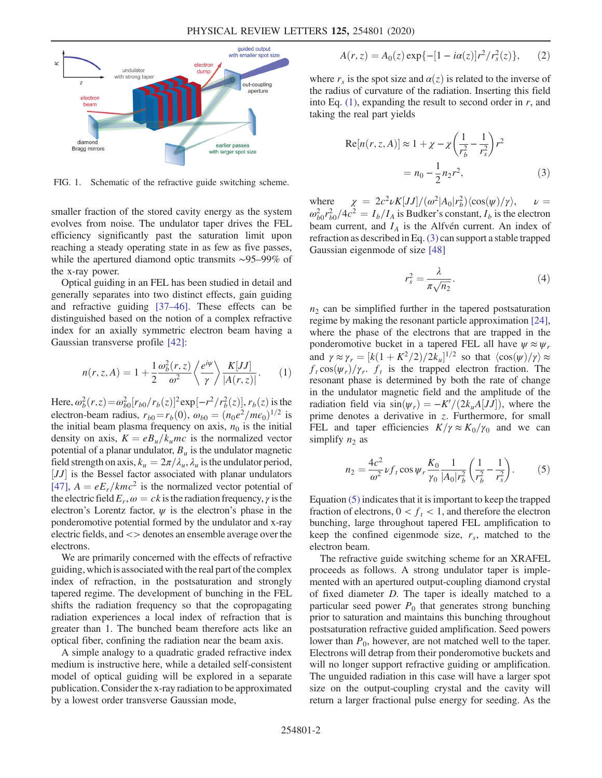<span id="page-1-0"></span>

FIG. 1. Schematic of the refractive guide switching scheme.

smaller fraction of the stored cavity energy as the system evolves from noise. The undulator taper drives the FEL efficiency significantly past the saturation limit upon reaching a steady operating state in as few as five passes, while the apertured diamond optic transmits ∼95–99% of the x-ray power.

Optical guiding in an FEL has been studied in detail and generally separates into two distinct effects, gain guiding and refractive guiding [\[37](#page-4-14)–46]. These effects can be distinguished based on the notion of a complex refractive index for an axially symmetric electron beam having a Gaussian transverse profile [\[42\]:](#page-5-0)

<span id="page-1-1"></span>
$$
n(r, z, A) = 1 + \frac{1}{2} \frac{\omega_b^2(r, z)}{\omega^2} \left\langle \frac{e^{i\psi}}{\gamma} \right\rangle \frac{K[JJ]}{|A(r, z)|}.
$$
 (1)

Here,  $\omega_b^2(r, z) = \omega_{b0}^2 [r_{b0}/r_b(z)]^2 \exp[-r^2/r_b^2(z)]$ ,  $r_b(z)$  is the electron beam radius  $r_a = r_a(0)$ ,  $\omega_a = (r_a)^2/m_c$ . electron-beam radius,  $r_{b0} = r_b(0)$ ,  $\omega_{b0} = (n_0e^2/m\epsilon_0)^{1/2}$  is the initial beam plasma frequency on axis,  $n_0$  is the initial density on axis,  $K = eB_u/k_umc$  is the normalized vector potential of a planar undulator,  $B_u$  is the undulator magnetic field strength on axis,  $k_u = 2\pi/\lambda_u$ ,  $\lambda_u$  is the undulator period, [JJ] is the Bessel factor associated with planar undulators  $\frac{[JJ]}{[JJ]}$   $A = eE / km c^2$  is the normalized vector potential of [\[47\]](#page-5-1),  $A = eE_r/kmc^2$  is the normalized vector potential of the electric field  $E_r$ ,  $\omega = ck$  is the radiation frequency,  $\gamma$  is the electron's Lorentz factor,  $\psi$  is the electron's phase in the ponderomotive potential formed by the undulator and x-ray electric fields, and <> denotes an ensemble average over the electrons.

We are primarily concerned with the effects of refractive guiding, which is associated with the real part of the complex index of refraction, in the postsaturation and strongly tapered regime. The development of bunching in the FEL shifts the radiation frequency so that the copropagating radiation experiences a local index of refraction that is greater than 1. The bunched beam therefore acts like an optical fiber, confining the radiation near the beam axis.

A simple analogy to a quadratic graded refractive index medium is instructive here, while a detailed self-consistent model of optical guiding will be explored in a separate publication. Consider the x-ray radiation to be approximated by a lowest order transverse Gaussian mode,

$$
A(r, z) = A_0(z) \exp\{-[1 - i\alpha(z)]r^2/r_s^2(z)\},\qquad(2)
$$

<span id="page-1-2"></span>where  $r<sub>s</sub>$  is the spot size and  $\alpha(z)$  is related to the inverse of the radius of curvature of the radiation. Inserting this field into Eq.  $(1)$ , expanding the result to second order in r, and taking the real part yields

$$
Re[n(r, z, A)] \approx 1 + \chi - \chi \left(\frac{1}{r_b^2} - \frac{1}{r_s^2}\right) r^2
$$
  
=  $n_0 - \frac{1}{2} n_2 r^2$ , (3)

where  $\chi = 2c^2 \nu K[JJ]/(\omega^2 |A_0| r_b^2) \langle \cos(\psi)/\gamma \rangle$ ,  $\nu = \omega_{b0}^2 r_{b0}^2 / 4c^2 = I_b / I_A$  is Budker's constant,  $I_b$  is the electron beam current, and  $I_a$  is the Alfvén current. An index of  $\chi = 2c^2 \nu K[JJ]/(\omega^2 |A_0|r_b^2\rangle \langle \cos(\psi)/\gamma \rangle$ , beam current, and  $I_A$  is the Alfvén current. An index of refraction as described in Eq.[\(3\)](#page-1-2) can support a stable trapped Gaussian eigenmode of size [\[48\]](#page-5-2)

$$
r_s^2 = \frac{\lambda}{\pi \sqrt{n_2}}.\tag{4}
$$

 $n<sub>2</sub>$  can be simplified further in the tapered postsaturation regime by making the resonant particle approximation [\[24\]](#page-4-10), where the phase of the electrons that are trapped in the ponderomotive bucket in a tapered FEL all have  $\psi \approx \psi_r$ and  $\gamma \approx \gamma_r = [k(1 + K^2/2)/2k_u]$ <br>f. cos(w)/x f. is the trapped <sup>1/2</sup> so that  $\langle \cos(\psi)/\gamma \rangle \approx$ <br>d electron fraction. The  $f_t \cos(\psi_r)/\gamma_r$ .  $f_t$  is the trapped electron fraction. The resonant phase is determined by both the rate of change in the undulator magnetic field and the amplitude of the radiation field via  $\sin(\psi_r) = -K'/(2k_uA[JJ])$ , where the prime denotes a derivative in z. Furthermore, for small prime denotes a derivative in z. Furthermore, for small FEL and taper efficiencies  $K/\gamma \approx K_0/\gamma_0$  and we can simplify  $n_2$  as

<span id="page-1-3"></span>
$$
n_2 = \frac{4c^2}{\omega^2} \nu f_t \cos \psi_r \frac{K_0}{\gamma_0} \frac{1}{|A_0| r_b^2} \left(\frac{1}{r_b^2} - \frac{1}{r_s^2}\right). \tag{5}
$$

Equation [\(5\)](#page-1-3) indicates that it is important to keep the trapped fraction of electrons,  $0 < f_t < 1$ , and therefore the electron bunching, large throughout tapered FEL amplification to keep the confined eigenmode size,  $r<sub>s</sub>$ , matched to the electron beam.

The refractive guide switching scheme for an XRAFEL proceeds as follows. A strong undulator taper is implemented with an apertured output-coupling diamond crystal of fixed diameter D. The taper is ideally matched to a particular seed power  $P_0$  that generates strong bunching prior to saturation and maintains this bunching throughout postsaturation refractive guided amplification. Seed powers lower than  $P_0$ , however, are not matched well to the taper. Electrons will detrap from their ponderomotive buckets and will no longer support refractive guiding or amplification. The unguided radiation in this case will have a larger spot size on the output-coupling crystal and the cavity will return a larger fractional pulse energy for seeding. As the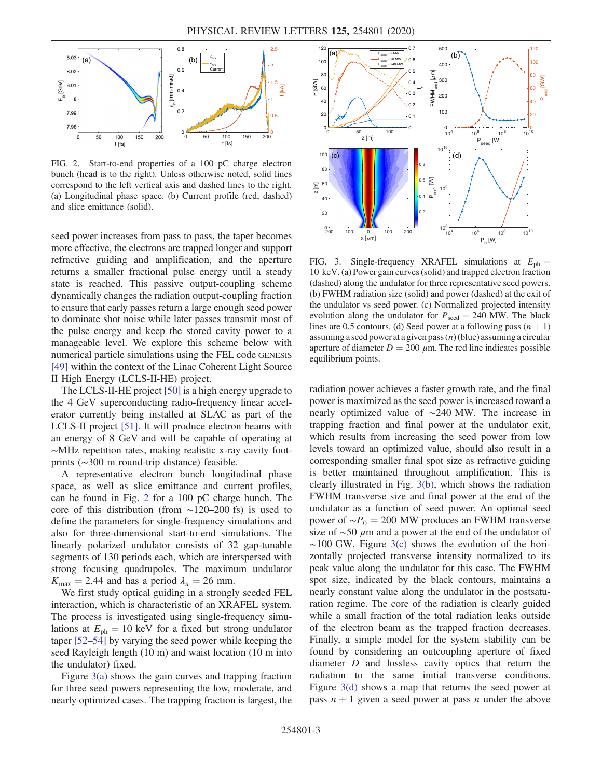<span id="page-2-0"></span>

FIG. 2. Start-to-end properties of a 100 pC charge electron bunch (head is to the right). Unless otherwise noted, solid lines correspond to the left vertical axis and dashed lines to the right. (a) Longitudinal phase space. (b) Current profile (red, dashed) and slice emittance (solid).

seed power increases from pass to pass, the taper becomes more effective, the electrons are trapped longer and support refractive guiding and amplification, and the aperture returns a smaller fractional pulse energy until a steady state is reached. This passive output-coupling scheme dynamically changes the radiation output-coupling fraction to ensure that early passes return a large enough seed power to dominate shot noise while later passes transmit most of the pulse energy and keep the stored cavity power to a manageable level. We explore this scheme below with numerical particle simulations using the FEL code GENESIS [\[49\]](#page-5-3) within the context of the Linac Coherent Light Source II High Energy (LCLS-II-HE) project.

The LCLS-II-HE project [\[50\]](#page-5-4) is a high energy upgrade to the 4 GeV superconducting radio-frequency linear accelerator currently being installed at SLAC as part of the LCLS-II project [\[51\]](#page-5-5). It will produce electron beams with an energy of 8 GeV and will be capable of operating at ∼MHz repetition rates, making realistic x-ray cavity footprints (∼300 m round-trip distance) feasible.

A representative electron bunch longitudinal phase space, as well as slice emittance and current profiles, can be found in Fig. [2](#page-2-0) for a 100 pC charge bunch. The core of this distribution (from ∼120–200 fs) is used to define the parameters for single-frequency simulations and also for three-dimensional start-to-end simulations. The linearly polarized undulator consists of 32 gap-tunable segments of 130 periods each, which are interspersed with strong focusing quadrupoles. The maximum undulator  $K_{\text{max}} = 2.44$  and has a period  $\lambda_u = 26$  mm.

We first study optical guiding in a strongly seeded FEL interaction, which is characteristic of an XRAFEL system. The process is investigated using single-frequency simulations at  $E_{\text{ph}} = 10 \text{ keV}$  for a fixed but strong undulator taper [\[52](#page-5-6)–54] by varying the seed power while keeping the seed Rayleigh length (10 m) and waist location (10 m into the undulator) fixed.

Figure  $3(a)$  shows the gain curves and trapping fraction for three seed powers representing the low, moderate, and nearly optimized cases. The trapping fraction is largest, the

<span id="page-2-1"></span>

FIG. 3. Single-frequency XRAFEL simulations at  $E_{\text{ph}} =$ 10 keV. (a) Power gain curves (solid) and trapped electron fraction (dashed) along the undulator for three representative seed powers. (b) FWHM radiation size (solid) and power (dashed) at the exit of the undulator vs seed power. (c) Normalized projected intensity evolution along the undulator for  $P_{\text{seed}} = 240$  MW. The black lines are 0.5 contours. (d) Seed power at a following pass  $(n + 1)$ assuming a seed power at a given pass  $(n)$  (blue) assuming a circular aperture of diameter  $D = 200 \mu m$ . The red line indicates possible equilibrium points.

radiation power achieves a faster growth rate, and the final power is maximized as the seed power is increased toward a nearly optimized value of ∼240 MW. The increase in trapping fraction and final power at the undulator exit, which results from increasing the seed power from low levels toward an optimized value, should also result in a corresponding smaller final spot size as refractive guiding is better maintained throughout amplification. This is clearly illustrated in Fig. [3\(b\)](#page-2-1), which shows the radiation FWHM transverse size and final power at the end of the undulator as a function of seed power. An optimal seed power of  $~\sim P_0 = 200$  MW produces an FWHM transverse size of ∼50 μm and a power at the end of the undulator of  $~\sim$ 100 GW. Figure [3\(c\)](#page-2-1) shows the evolution of the horizontally projected transverse intensity normalized to its peak value along the undulator for this case. The FWHM spot size, indicated by the black contours, maintains a nearly constant value along the undulator in the postsaturation regime. The core of the radiation is clearly guided while a small fraction of the total radiation leaks outside of the electron beam as the trapped fraction decreases. Finally, a simple model for the system stability can be found by considering an outcoupling aperture of fixed diameter D and lossless cavity optics that return the radiation to the same initial transverse conditions. Figure [3\(d\)](#page-2-1) shows a map that returns the seed power at pass  $n + 1$  given a seed power at pass n under the above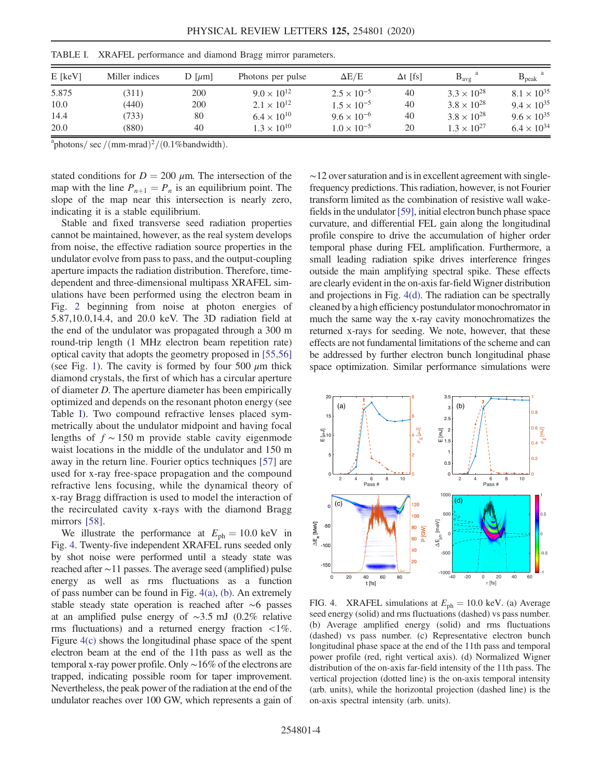| $E$ [keV] | Miller indices | $D$ [ $\mu$ m] | Photons per pulse    | $\Delta E/E$         | $\Delta t$ [fs] | $B_{\text{avg}}$     | $B_{\rm peak}$       |
|-----------|----------------|----------------|----------------------|----------------------|-----------------|----------------------|----------------------|
| 5.875     | (311)          | 200            | $9.0 \times 10^{12}$ | $2.5 \times 10^{-5}$ | 40              | $3.3 \times 10^{28}$ | $8.1 \times 10^{35}$ |
| 10.0      | (440)          | 200            | $2.1 \times 10^{12}$ | $1.5 \times 10^{-5}$ | 40              | $3.8 \times 10^{28}$ | $9.4 \times 10^{35}$ |
| 14.4      | 733)           | 80             | $6.4 \times 10^{10}$ | $9.6 \times 10^{-6}$ | 40              | $3.8 \times 10^{28}$ | $9.6 \times 10^{35}$ |
| 20.0      | (880)          | 40             | $1.3 \times 10^{10}$ | $1.0 \times 10^{-5}$ | 20              | $1.3 \times 10^{27}$ | $6.4 \times 10^{34}$ |

<span id="page-3-0"></span>TABLE I. XRAFEL performance and diamond Bragg mirror parameters.

 $a^2$ photons/sec /(mm-mrad)<sup>2</sup>/(0.1%bandwidth).

stated conditions for  $D = 200 \mu m$ . The intersection of the map with the line  $P_{n+1} = P_n$  is an equilibrium point. The slope of the map near this intersection is nearly zero, indicating it is a stable equilibrium.

Stable and fixed transverse seed radiation properties cannot be maintained, however, as the real system develops from noise, the effective radiation source properties in the undulator evolve from pass to pass, and the output-coupling aperture impacts the radiation distribution. Therefore, timedependent and three-dimensional multipass XRAFEL simulations have been performed using the electron beam in Fig. [2](#page-2-0) beginning from noise at photon energies of 5.87,10.0,14.4, and 20.0 keV. The 3D radiation field at the end of the undulator was propagated through a 300 m round-trip length (1 MHz electron beam repetition rate) optical cavity that adopts the geometry proposed in [\[55,56\]](#page-5-7) (see Fig. [1\)](#page-1-0). The cavity is formed by four 500  $\mu$ m thick diamond crystals, the first of which has a circular aperture of diameter D. The aperture diameter has been empirically optimized and depends on the resonant photon energy (see Table [I\)](#page-3-0). Two compound refractive lenses placed symmetrically about the undulator midpoint and having focal lengths of  $f \sim 150$  m provide stable cavity eigenmode waist locations in the middle of the undulator and 150 m away in the return line. Fourier optics techniques [\[57\]](#page-5-8) are used for x-ray free-space propagation and the compound refractive lens focusing, while the dynamical theory of x-ray Bragg diffraction is used to model the interaction of the recirculated cavity x-rays with the diamond Bragg mirrors [\[58\]](#page-5-9).

We illustrate the performance at  $E_{ph} = 10.0 \text{ keV}$  in Fig. [4](#page-3-1). Twenty-five independent XRAFEL runs seeded only by shot noise were performed until a steady state was reached after ∼11 passes. The average seed (amplified) pulse energy as well as rms fluctuations as a function of pass number can be found in Fig. [4\(a\),](#page-3-1) [\(b\).](#page-3-1) An extremely stable steady state operation is reached after ∼6 passes at an amplified pulse energy of ∼3.5 mJ (0.2% relative rms fluctuations) and a returned energy fraction  $\langle 1\% \rangle$ . Figure [4\(c\)](#page-3-1) shows the longitudinal phase space of the spent electron beam at the end of the 11th pass as well as the temporal x-ray power profile. Only ∼16% of the electrons are trapped, indicating possible room for taper improvement. Nevertheless, the peak power of the radiation at the end of the undulator reaches over 100 GW, which represents a gain of  $\sim$ 12 over saturation and is in excellent agreement with singlefrequency predictions. This radiation, however, is not Fourier transform limited as the combination of resistive wall wakefields in the undulator [\[59\]](#page-5-10), initial electron bunch phase space curvature, and differential FEL gain along the longitudinal profile conspire to drive the accumulation of higher order temporal phase during FEL amplification. Furthermore, a small leading radiation spike drives interference fringes outside the main amplifying spectral spike. These effects are clearly evident in the on-axis far-field Wigner distribution and projections in Fig. [4\(d\).](#page-3-1) The radiation can be spectrally cleaned by a high efficiency postundulator monochromator in much the same way the x-ray cavity monochromatizes the returned x-rays for seeding. We note, however, that these effects are not fundamental limitations of the scheme and can be addressed by further electron bunch longitudinal phase space optimization. Similar performance simulations were

<span id="page-3-1"></span>

FIG. 4. XRAFEL simulations at  $E_{\text{ph}} = 10.0 \text{ keV}$ . (a) Average seed energy (solid) and rms fluctuations (dashed) vs pass number. (b) Average amplified energy (solid) and rms fluctuations (dashed) vs pass number. (c) Representative electron bunch longitudinal phase space at the end of the 11th pass and temporal power profile (red, right vertical axis). (d) Normalized Wigner distribution of the on-axis far-field intensity of the 11th pass. The vertical projection (dotted line) is the on-axis temporal intensity (arb. units), while the horizontal projection (dashed line) is the on-axis spectral intensity (arb. units).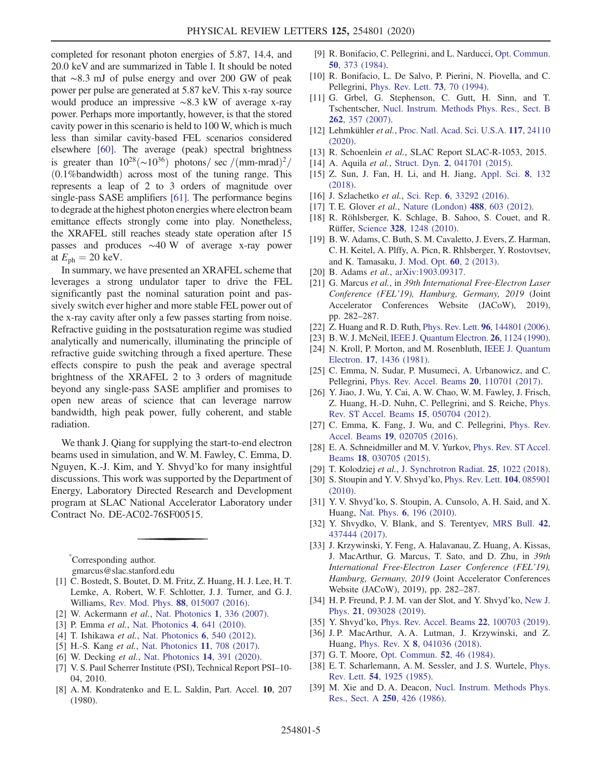completed for resonant photon energies of 5.87, 14.4, and 20.0 keV and are summarized in Table [I.](#page-3-0) It should be noted that ∼8.3 mJ of pulse energy and over 200 GW of peak power per pulse are generated at 5.87 keV. This x-ray source would produce an impressive ∼8.3 kW of average x-ray power. Perhaps more importantly, however, is that the stored cavity power in this scenario is held to 100 W, which is much less than similar cavity-based FEL scenarios considered elsewhere [\[60\].](#page-5-11) The average (peak) spectral brightness is greater than  $10^{28}$ (~ $10^{36}$ ) photons/ sec /(mm-mrad)<sup>2</sup>/  $(0.1\%$ bandwidth) across most of the tuning range. This represents a leap of 2 to 3 orders of magnitude over single-pass SASE amplifiers [\[61\]](#page-5-12). The performance begins to degrade at the highest photon energies where electron beam emittance effects strongly come into play. Nonetheless, the XRAFEL still reaches steady state operation after 15 passes and produces ∼40 W of average x-ray power at  $E_{\text{ph}} = 20 \text{ keV}$ .

In summary, we have presented an XRAFEL scheme that leverages a strong undulator taper to drive the FEL significantly past the nominal saturation point and passively switch ever higher and more stable FEL power out of the x-ray cavity after only a few passes starting from noise. Refractive guiding in the postsaturation regime was studied analytically and numerically, illuminating the principle of refractive guide switching through a fixed aperture. These effects conspire to push the peak and average spectral brightness of the XRAFEL 2 to 3 orders of magnitude beyond any single-pass SASE amplifier and promises to open new areas of science that can leverage narrow bandwidth, high peak power, fully coherent, and stable radiation.

We thank J. Qiang for supplying the start-to-end electron beams used in simulation, and W. M. Fawley, C. Emma, D. Nguyen, K.-J. Kim, and Y. Shvyd'ko for many insightful discussions. This work was supported by the Department of Energy, Laboratory Directed Research and Development program at SLAC National Accelerator Laboratory under Contract No. DE-AC02-76SF00515.

<span id="page-4-0"></span>[\\*](#page-0-0) Corresponding author.

gmarcus@slac.stanford.edu

- <span id="page-4-1"></span>[1] C. Bostedt, S. Boutet, D. M. Fritz, Z. Huang, H. J. Lee, H. T. Lemke, A. Robert, W. F. Schlotter, J. J. Turner, and G. J. Williams, [Rev. Mod. Phys.](https://doi.org/10.1103/RevModPhys.88.015007) 88, 015007 (2016).
- <span id="page-4-2"></span>[2] W. Ackermann et al., [Nat. Photonics](https://doi.org/10.1038/nphoton.2007.76) 1, 336 (2007).
- [3] P. Emma *et al.*, [Nat. Photonics](https://doi.org/10.1038/nphoton.2010.176) 4, 641 (2010).
- [4] T. Ishikawa *et al.*, [Nat. Photonics](https://doi.org/10.1038/nphoton.2012.141) **6**, 540 (2012).
- [5] H.-S. Kang et al., [Nat. Photonics](https://doi.org/10.1038/s41566-017-0029-8) 11, 708 (2017).
- [6] W. Decking et al., [Nat. Photonics](https://doi.org/10.1038/s41566-020-0607-z) 14, 391 (2020).
- <span id="page-4-3"></span>[7] V. S. Paul Scherrer Institute (PSI), Technical Report PSI–10- 04, 2010.
- [8] A. M. Kondratenko and E. L. Saldin, Part. Accel. **10**, 207 (1980).
- [9] R. Bonifacio, C. Pellegrini, and L. Narducci, [Opt. Commun.](https://doi.org/10.1016/0030-4018(84)90105-6) 50[, 373 \(1984\).](https://doi.org/10.1016/0030-4018(84)90105-6)
- <span id="page-4-4"></span>[10] R. Bonifacio, L. De Salvo, P. Pierini, N. Piovella, and C. Pellegrini, [Phys. Rev. Lett.](https://doi.org/10.1103/PhysRevLett.73.70) 73, 70 (1994).
- <span id="page-4-5"></span>[11] G. Grbel, G. Stephenson, C. Gutt, H. Sinn, and T. Tschentscher, [Nucl. Instrum. Methods Phys. Res., Sect. B](https://doi.org/10.1016/j.nimb.2007.05.015) 262[, 357 \(2007\)](https://doi.org/10.1016/j.nimb.2007.05.015).
- [12] Lehmkühler et al., [Proc. Natl. Acad. Sci. U.S.A.](https://doi.org/10.1073/pnas.2003337117) 117, 24110 [\(2020\).](https://doi.org/10.1073/pnas.2003337117)
- <span id="page-4-7"></span><span id="page-4-6"></span>[13] R. Schoenlein et al., SLAC Report SLAC-R-1053, 2015.
- [14] A. Aquila et al., Struct. Dyn. 2[, 041701 \(2015\)](https://doi.org/10.1063/1.4918726).
- [15] Z. Sun, J. Fan, H. Li, and H. Jiang, [Appl. Sci.](https://doi.org/10.3390/app8010132) 8, 132 [\(2018\).](https://doi.org/10.3390/app8010132)
- [16] J. Szlachetko et al., Sci. Rep. 6[, 33292 \(2016\).](https://doi.org/10.1038/srep33292)
- [17] T. E. Glover *et al.*, [Nature \(London\)](https://doi.org/10.1038/nature11340) **488**, 603 (2012).
- [18] R. Röhlsberger, K. Schlage, B. Sahoo, S. Couet, and R. Rüffer, Science 328[, 1248 \(2010\)](https://doi.org/10.1126/science.1187770).
- [19] B. W. Adams, C. Buth, S. M. Cavaletto, J. Evers, Z. Harman, C. H. Keitel, A. Plffy, A. Picn, R. Rhlsberger, Y. Rostovtsev, and K. Tamasaku, [J. Mod. Opt.](https://doi.org/10.1080/09500340.2012.752113) 60, 2 (2013).
- <span id="page-4-8"></span>[20] B. Adams et al., [arXiv:1903.09317](https://arXiv.org/abs/1903.09317).
- [21] G. Marcus et al., in 39th International Free-Electron Laser Conference (FEL'19), Hamburg, Germany, 2019 (Joint Accelerator Conferences Website (JACoW), 2019), pp. 282–287.
- <span id="page-4-9"></span>[22] Z. Huang and R. D. Ruth, *Phys. Rev. Lett.* **96**[, 144801 \(2006\).](https://doi.org/10.1103/PhysRevLett.96.144801)
- <span id="page-4-10"></span>[23] B. W. J. McNeil, [IEEE J. Quantum Electron.](https://doi.org/10.1109/3.108109) **26**, 1124 (1990).
- [24] N. Kroll, P. Morton, and M. Rosenbluth, [IEEE J. Quantum](https://doi.org/10.1109/JQE.1981.1071285) Electron. 17[, 1436 \(1981\).](https://doi.org/10.1109/JQE.1981.1071285)
- [25] C. Emma, N. Sudar, P. Musumeci, A. Urbanowicz, and C. Pellegrini, [Phys. Rev. Accel. Beams](https://doi.org/10.1103/PhysRevAccelBeams.20.110701) 20, 110701 (2017).
- [26] Y. Jiao, J. Wu, Y. Cai, A. W. Chao, W. M. Fawley, J. Frisch, Z. Huang, H.-D. Nuhn, C. Pellegrini, and S. Reiche, [Phys.](https://doi.org/10.1103/PhysRevSTAB.15.050704) [Rev. ST Accel. Beams](https://doi.org/10.1103/PhysRevSTAB.15.050704) 15, 050704 (2012).
- [27] C. Emma, K. Fang, J. Wu, and C. Pellegrini, [Phys. Rev.](https://doi.org/10.1103/PhysRevAccelBeams.19.020705) Accel. Beams 19[, 020705 \(2016\).](https://doi.org/10.1103/PhysRevAccelBeams.19.020705)
- [28] E. A. Schneidmiller and M. V. Yurkov, [Phys. Rev. ST Accel.](https://doi.org/10.1103/PhysRevSTAB.18.030705) Beams 18[, 030705 \(2015\).](https://doi.org/10.1103/PhysRevSTAB.18.030705)
- <span id="page-4-11"></span>[29] T. Kolodziej et al., [J. Synchrotron Radiat.](https://doi.org/10.1107/S1600577518007695) 25, 1022 (2018).
- [30] S. Stoupin and Y. V. Shvyd'ko, [Phys. Rev. Lett.](https://doi.org/10.1103/PhysRevLett.104.085901) **104**, 085901 [\(2010\).](https://doi.org/10.1103/PhysRevLett.104.085901)
- [31] Y. V. Shvyd'ko, S. Stoupin, A. Cunsolo, A. H. Said, and X. Huang, Nat. Phys. 6[, 196 \(2010\)](https://doi.org/10.1038/nphys1506).
- [32] Y. Shvydko, V. Blank, and S. Terentyev, [MRS Bull.](https://doi.org/10.1557/mrs.2017.119) 42, [437444 \(2017\).](https://doi.org/10.1557/mrs.2017.119)
- <span id="page-4-12"></span>[33] J. Krzywinski, Y. Feng, A. Halavanau, Z. Huang, A. Kissas, J. MacArthur, G. Marcus, T. Sato, and D. Zhu, in 39th International Free-Electron Laser Conference (FEL'19), Hamburg, Germany, 2019 (Joint Accelerator Conferences Website (JACoW), 2019), pp. 282–287.
- <span id="page-4-13"></span>[34] H. P. Freund, P. J. M. van der Slot, and Y. Shvyd'ko, [New J.](https://doi.org/10.1088/1367-2630/ab3f72) Phys. 21[, 093028 \(2019\)](https://doi.org/10.1088/1367-2630/ab3f72).
- [35] Y. Shvyd'ko, [Phys. Rev. Accel. Beams](https://doi.org/10.1103/PhysRevAccelBeams.22.100703) 22, 100703 (2019).
- <span id="page-4-14"></span>[36] J.P. MacArthur, A.A. Lutman, J. Krzywinski, and Z. Huang, Phys. Rev. X 8[, 041036 \(2018\).](https://doi.org/10.1103/PhysRevX.8.041036)
- [37] G. T. Moore, [Opt. Commun.](https://doi.org/10.1016/0030-4018(84)90071-3) **52**, 46 (1984).
- [38] E. T. Scharlemann, A. M. Sessler, and J. S. Wurtele, [Phys.](https://doi.org/10.1103/PhysRevLett.54.1925) Rev. Lett. 54[, 1925 \(1985\)](https://doi.org/10.1103/PhysRevLett.54.1925).
- [39] M. Xie and D. A. Deacon, [Nucl. Instrum. Methods Phys.](https://doi.org/10.1016/0168-9002(86)90920-4) [Res., Sect. A](https://doi.org/10.1016/0168-9002(86)90920-4) 250, 426 (1986).